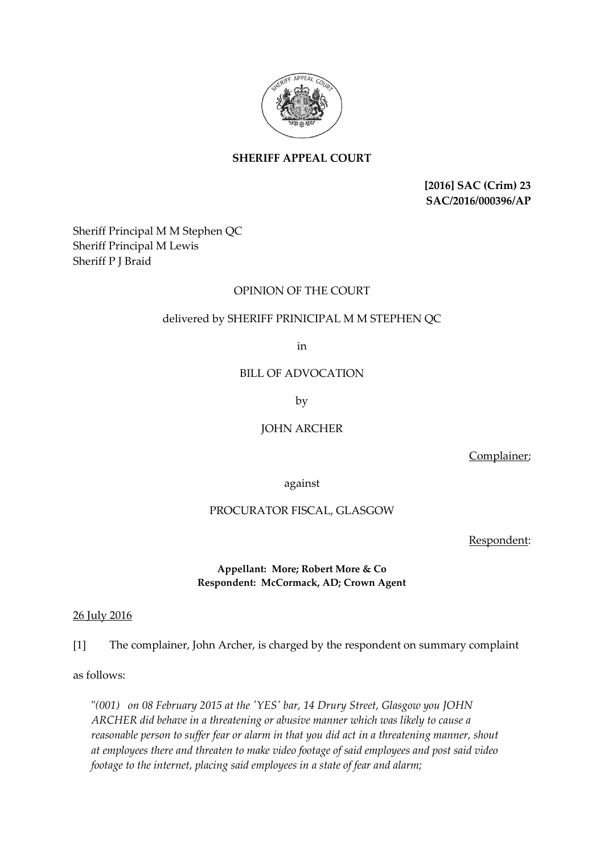

# **SHERIFF APPEAL COURT**

**[2016] SAC (Crim) 23 SAC/2016/000396/AP**

Sheriff Principal M M Stephen QC Sheriff Principal M Lewis Sheriff P J Braid

### OPINION OF THE COURT

## delivered by SHERIFF PRINICIPAL M M STEPHEN QC

in

BILL OF ADVOCATION

by

JOHN ARCHER

Complainer;

against

### PROCURATOR FISCAL, GLASGOW

Respondent:

### **Appellant: More; Robert More & Co Respondent: McCormack, AD; Crown Agent**

### 26 July 2016

[1] The complainer, John Archer, is charged by the respondent on summary complaint

as follows:

"*(001) on 08 February 2015 at the 'YES' bar, 14 Drury Street, Glasgow you JOHN ARCHER did behave in a threatening or abusive manner which was likely to cause a reasonable person to suffer fear or alarm in that you did act in a threatening manner, shout at employees there and threaten to make video footage of said employees and post said video footage to the internet, placing said employees in a state of fear and alarm;*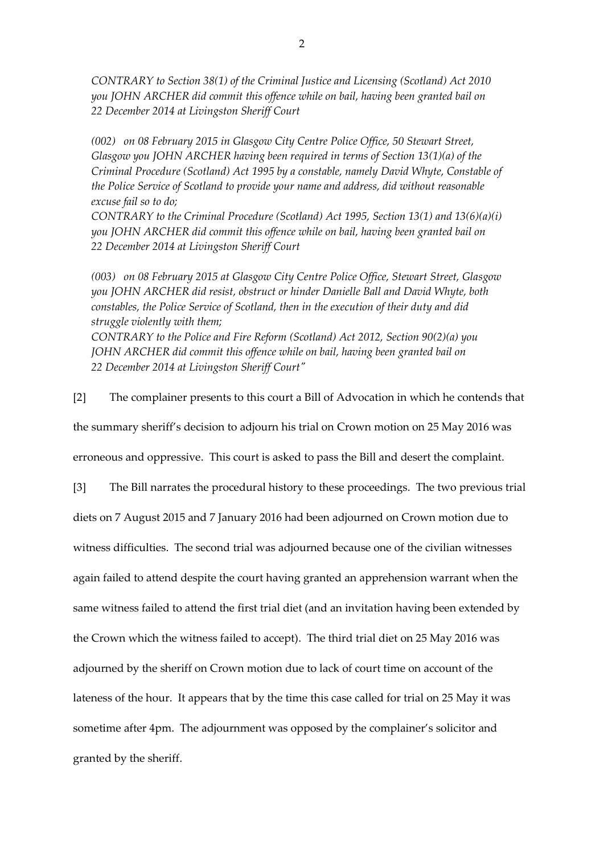*CONTRARY to Section 38(1) of the Criminal Justice and Licensing (Scotland) Act 2010 you JOHN ARCHER did commit this offence while on bail, having been granted bail on 22 December 2014 at Livingston Sheriff Court*

*(002) on 08 February 2015 in Glasgow City Centre Police Office, 50 Stewart Street, Glasgow you JOHN ARCHER having been required in terms of Section 13(1)(a) of the Criminal Procedure (Scotland) Act 1995 by a constable, namely David Whyte, Constable of the Police Service of Scotland to provide your name and address, did without reasonable excuse fail so to do;*

*CONTRARY to the Criminal Procedure (Scotland) Act 1995, Section 13(1) and 13(6)(a)(i) you JOHN ARCHER did commit this offence while on bail, having been granted bail on 22 December 2014 at Livingston Sheriff Court*

*(003) on 08 February 2015 at Glasgow City Centre Police Office, Stewart Street, Glasgow you JOHN ARCHER did resist, obstruct or hinder Danielle Ball and David Whyte, both constables, the Police Service of Scotland, then in the execution of their duty and did struggle violently with them; CONTRARY to the Police and Fire Reform (Scotland) Act 2012, Section 90(2)(a) you JOHN ARCHER did commit this offence while on bail, having been granted bail on* 

*22 December 2014 at Livingston Sheriff Court"*

[2] The complainer presents to this court a Bill of Advocation in which he contends that the summary sheriff's decision to adjourn his trial on Crown motion on 25 May 2016 was erroneous and oppressive. This court is asked to pass the Bill and desert the complaint.

[3] The Bill narrates the procedural history to these proceedings. The two previous trial diets on 7 August 2015 and 7 January 2016 had been adjourned on Crown motion due to witness difficulties. The second trial was adjourned because one of the civilian witnesses again failed to attend despite the court having granted an apprehension warrant when the same witness failed to attend the first trial diet (and an invitation having been extended by the Crown which the witness failed to accept). The third trial diet on 25 May 2016 was adjourned by the sheriff on Crown motion due to lack of court time on account of the lateness of the hour. It appears that by the time this case called for trial on 25 May it was sometime after 4pm. The adjournment was opposed by the complainer's solicitor and granted by the sheriff.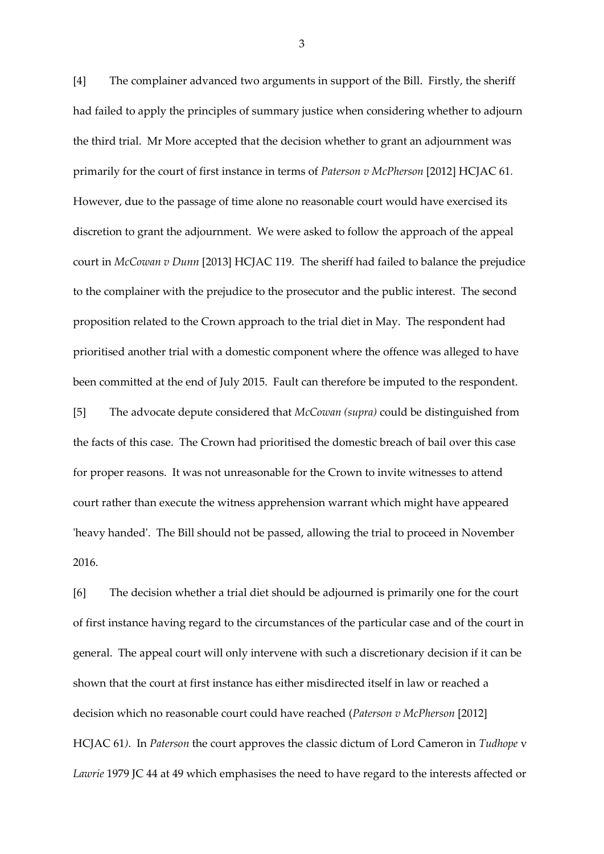[4] The complainer advanced two arguments in support of the Bill. Firstly, the sheriff had failed to apply the principles of summary justice when considering whether to adjourn the third trial. Mr More accepted that the decision whether to grant an adjournment was primarily for the court of first instance in terms of *Paterson v McPherson* [2012] HCJAC 61*.* However, due to the passage of time alone no reasonable court would have exercised its discretion to grant the adjournment. We were asked to follow the approach of the appeal court in *McCowan v Dunn* [2013] HCJAC 119*.* The sheriff had failed to balance the prejudice to the complainer with the prejudice to the prosecutor and the public interest. The second proposition related to the Crown approach to the trial diet in May. The respondent had prioritised another trial with a domestic component where the offence was alleged to have been committed at the end of July 2015. Fault can therefore be imputed to the respondent. [5] The advocate depute considered that *McCowan (supra)* could be distinguished from the facts of this case. The Crown had prioritised the domestic breach of bail over this case for proper reasons. It was not unreasonable for the Crown to invite witnesses to attend court rather than execute the witness apprehension warrant which might have appeared 'heavy handed'. The Bill should not be passed, allowing the trial to proceed in November 2016.

[6] The decision whether a trial diet should be adjourned is primarily one for the court of first instance having regard to the circumstances of the particular case and of the court in general. The appeal court will only intervene with such a discretionary decision if it can be shown that the court at first instance has either misdirected itself in law or reached a decision which no reasonable court could have reached (*Paterson v McPherson* [2012] HCJAC 61*)*. In *Paterson* the court approves the classic dictum of Lord Cameron in *Tudhope* v *Lawrie* 1979 JC 44 at 49 which emphasises the need to have regard to the interests affected or

3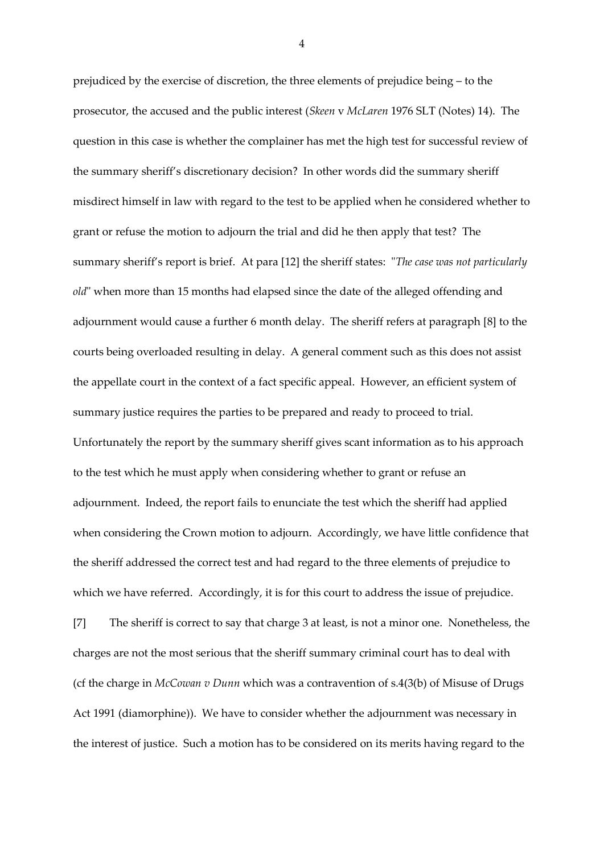prejudiced by the exercise of discretion, the three elements of prejudice being – to the prosecutor, the accused and the public interest (*Skeen* v *McLaren* 1976 SLT (Notes) 14). The question in this case is whether the complainer has met the high test for successful review of the summary sheriff's discretionary decision? In other words did the summary sheriff misdirect himself in law with regard to the test to be applied when he considered whether to grant or refuse the motion to adjourn the trial and did he then apply that test? The summary sheriff's report is brief. At para [12] the sheriff states: "*The case was not particularly old*" when more than 15 months had elapsed since the date of the alleged offending and adjournment would cause a further 6 month delay. The sheriff refers at paragraph [8] to the courts being overloaded resulting in delay. A general comment such as this does not assist the appellate court in the context of a fact specific appeal. However, an efficient system of summary justice requires the parties to be prepared and ready to proceed to trial. Unfortunately the report by the summary sheriff gives scant information as to his approach to the test which he must apply when considering whether to grant or refuse an adjournment. Indeed, the report fails to enunciate the test which the sheriff had applied when considering the Crown motion to adjourn. Accordingly, we have little confidence that the sheriff addressed the correct test and had regard to the three elements of prejudice to which we have referred. Accordingly, it is for this court to address the issue of prejudice. [7] The sheriff is correct to say that charge 3 at least, is not a minor one. Nonetheless, the charges are not the most serious that the sheriff summary criminal court has to deal with (cf the charge in *McCowan v Dunn* which was a contravention of s.4(3(b) of Misuse of Drugs Act 1991 (diamorphine)). We have to consider whether the adjournment was necessary in

the interest of justice. Such a motion has to be considered on its merits having regard to the

4